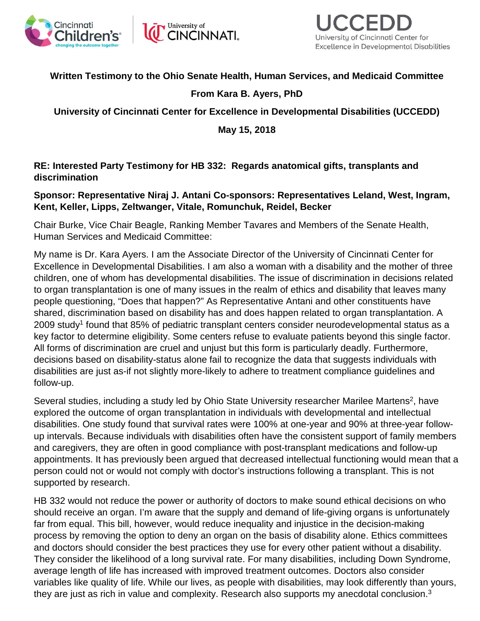



## **Written Testimony to the Ohio Senate Health, Human Services, and Medicaid Committee**

## **From Kara B. Ayers, PhD**

**University of Cincinnati Center for Excellence in Developmental Disabilities (UCCEDD)**

**May 15, 2018**

**RE: Interested Party Testimony for HB 332: Regards anatomical gifts, transplants and discrimination**

## **Sponsor: Representative Niraj J. Antani Co-sponsors: Representatives Leland, West, Ingram, Kent, Keller, Lipps, Zeltwanger, Vitale, Romunchuk, Reidel, Becker**

Chair Burke, Vice Chair Beagle, Ranking Member Tavares and Members of the Senate Health, Human Services and Medicaid Committee:

My name is Dr. Kara Ayers. I am the Associate Director of the University of Cincinnati Center for Excellence in Developmental Disabilities. I am also a woman with a disability and the mother of three children, one of whom has developmental disabilities. The issue of discrimination in decisions related to organ transplantation is one of many issues in the realm of ethics and disability that leaves many people questioning, "Does that happen?" As Representative Antani and other constituents have shared, discrimination based on disability has and does happen related to organ transplantation. A 2009 study<sup>1</sup> found that 85% of pediatric transplant centers consider neurodevelopmental status as a key factor to determine eligibility. Some centers refuse to evaluate patients beyond this single factor. All forms of discrimination are cruel and unjust but this form is particularly deadly. Furthermore, decisions based on disability-status alone fail to recognize the data that suggests individuals with disabilities are just as-if not slightly more-likely to adhere to treatment compliance guidelines and follow-up.

Several studies, including a study led by Ohio State University researcher Marilee Martens<sup>2</sup>, have explored the outcome of organ transplantation in individuals with developmental and intellectual disabilities. One study found that survival rates were 100% at one-year and 90% at three-year followup intervals. Because individuals with disabilities often have the consistent support of family members and caregivers, they are often in good compliance with post-transplant medications and follow-up appointments. It has previously been argued that decreased intellectual functioning would mean that a person could not or would not comply with doctor's instructions following a transplant. This is not supported by research.

HB 332 would not reduce the power or authority of doctors to make sound ethical decisions on who should receive an organ. I'm aware that the supply and demand of life-giving organs is unfortunately far from equal. This bill, however, would reduce inequality and injustice in the decision-making process by removing the option to deny an organ on the basis of disability alone. Ethics committees and doctors should consider the best practices they use for every other patient without a disability. They consider the likelihood of a long survival rate. For many disabilities, including Down Syndrome, average length of life has increased with improved treatment outcomes. Doctors also consider variables like quality of life. While our lives, as people with disabilities, may look differently than yours, they are just as rich in value and complexity. Research also supports my anecdotal conclusion.3